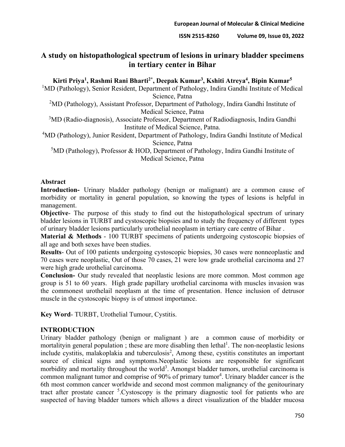# **A study on histopathological spectrum of lesions in urinary bladder specimens in tertiary center in Bihar**

## **Kirti Priya1, Rashmi Rani Bharti2\*, Deepak Kumar3, Kshiti Atreya4, Bipin Kumar5**

<sup>1</sup>MD (Pathology), Senior Resident, Department of Pathology, Indira Gandhi Institute of Medical Science, Patna

<sup>2</sup>MD (Pathology), Assistant Professor, Department of Pathology, Indira Gandhi Institute of Medical Science, Patna

<sup>3</sup>MD (Radio-diagnosis), Associate Professor, Department of Radiodiagnosis, Indira Gandhi Institute of Medical Science, Patna.

<sup>4</sup>MD (Pathology), Junior Resident, Department of Pathology, Indira Gandhi Institute of Medical Science, Patna

<sup>5</sup>MD (Pathology), Professor & HOD, Department of Pathology, Indira Gandhi Institute of Medical Science, Patna

#### **Abstract**

**Introduction-** Urinary bladder pathology (benign or malignant) are a common cause of morbidity or mortality in general population, so knowing the types of lesions is helpful in management.

**Objective**- The purpose of this study to find out the histopathological spectrum of urinary bladder lesions in TURBT and cystoscopic biopsies and to study the frequency of different types of urinary bladder lesions particularly urothelial neoplasm in tertiary care centre of Bihar .

**Material & Methods** - 100 TURBT specimens of patients undergoing cystoscopic biopsies of all age and both sexes have been studies.

**Results**- Out of 100 patients undergoing cystoscopic biopsies, 30 cases were nonneoplastic and 70 cases were neoplastic, Out of those 70 cases, 21 were low grade urothelial carcinoma and 27 were high grade urothelial carcinoma.

**Conclusion-** Our study revealed that neoplastic lesions are more common. Most common age group is 51 to 60 years. High grade papillary urothelial carcinoma with muscles invasion was the commonest urothelail neoplasm at the time of presentation. Hence inclusion of detrusor muscle in the cystoscopic biopsy is of utmost importance.

**Key Word**- TURBT, Urothelial Tumour, Cystitis.

### **INTRODUCTION**

Urinary bladder pathology (benign or malignant ) are a common cause of morbidity or mortalityin general population; these are more disabling then lethal<sup>1</sup>. The non-neoplastic lesions include cystitis, malakoplakia and tuberculosis<sup>2</sup>, Among these, cystitis constitutes an important source of clinical signs and symptoms.Neoplastic lesions are responsible for significant morbidity and mortality throughout the world<sup>3</sup>. Amongst bladder tumors, urothelial carcinoma is common malignant tumor and comprise of 90% of primary tumor<sup>4</sup>. Urinary bladder cancer is the 6th most common cancer worldwide and second most common malignancy of the genitourinary tract after prostate cancer <sup>5</sup>. Cystoscopy is the primary diagnostic tool for patients who are suspected of having bladder tumors which allows a direct visualization of the bladder mucosa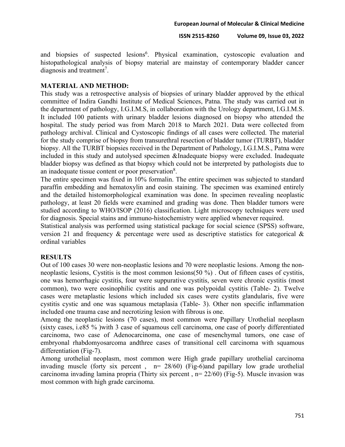and biopsies of suspected lesions<sup>6</sup>. Physical examination, cystoscopic evaluation and histopathological analysis of biopsy material are mainstay of contemporary bladder cancer diagnosis and treatment<sup>7</sup>.

#### **MATERIAL AND METHOD:**

This study was a retrospective analysis of biopsies of urinary bladder approved by the ethical committee of Indira Gandhi Institute of Medical Sciences, Patna. The study was carried out in the department of pathology, I.G.I.M.S, in collaboration with the Urology department, I.G.I.M.S. It included 100 patients with urinary bladder lesions diagnosed on biopsy who attended the hospital. The study period was from March 2018 to March 2021. Data were collected from pathology archival. Clinical and Cystoscopic findings of all cases were collected. The material for the study comprise of biopsy from transurethral resection of bladder tumor (TURBT), bladder biopsy. All the TURBT biopsies received in the Department of Pathology, I.G.I.M.S., Patna were included in this study and autolysed specimen &Inadequate biopsy were excluded. Inadequate bladder biopsy was defined as that biopsy which could not be interpreted by pathologists due to an inadequate tissue content or poor preservation $8$ .

The entire specimen was fixed in 10% formalin. The entire specimen was subjected to standard paraffin embedding and hematoxylin and eosin staining. The specimen was examined entirely and the detailed histomorphological examination was done. In specimen revealing neoplastic pathology, at least 20 fields were examined and grading was done. Then bladder tumors were studied according to WHO/ISOP (2016) classification. Light microscopy techniques were used for diagnosis. Special stains and immuno-histochemistry were applied whenever required.

Statistical analysis was performed using statistical package for social science (SPSS) software, version 21 and frequency & percentage were used as descriptive statistics for categorical & ordinal variables

### **RESULTS**

Out of 100 cases 30 were non-neoplastic lesions and 70 were neoplastic lesions. Among the nonneoplastic lesions, Cystitis is the most common lesions(50 %) . Out of fifteen cases of cystitis, one was hemorrhagic cystitis, four were suppurative cystitis, seven were chronic cystitis (most common), two were eosinophilic cystitis and one was polypoidal cystitis (Table- 2). Twelve cases were metaplastic lesions which included six cases were cystits glandularis, five were cystitis cystic and one was squamous metaplasia (Table- 3). Other non specific inflammation included one trauma case and necrotizing lesion with fibrous is one.

Among the neoplastic lesions (70 cases), most common were Papillary Urothelial neoplasm (sixty cases, i.e85 % )with 3 case of squamous cell carcinoma, one case of poorly differentiated carcinoma, two case of Adenocarcinoma, one case of mesenchymal tumors, one case of embryonal rhabdomyosarcoma andthree cases of transitional cell carcinoma with squamous differentiation (Fig-7).

Among urothelial neoplasm, most common were High grade papillary urothelial carcinoma invading muscle (forty six percent,  $n= 28/60$ ) (Fig-6)and papillary low grade urothelial carcinoma invading lamina propria (Thirty six percent , n= 22/60) (Fig-5). Muscle invasion was most common with high grade carcinoma.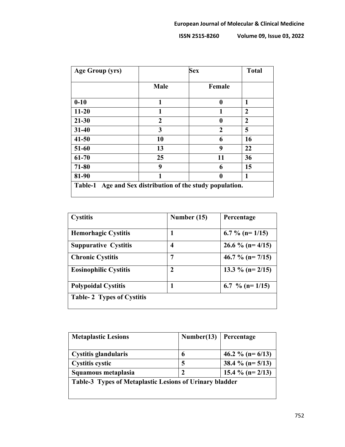| Age Group (yrs) | <b>Sex</b>   |                | <b>Total</b>   |
|-----------------|--------------|----------------|----------------|
|                 | Male         | Female         |                |
| $0 - 10$        | 1            | 0              | 1              |
| $11 - 20$       | 1            | 1              | $\overline{2}$ |
| $21 - 30$       | $\mathbf{2}$ | 0              | $\overline{2}$ |
| $31 - 40$       | 3            | $\overline{2}$ | 5              |
| $41 - 50$       | 10           | 6              | 16             |
| 51-60           | 13           | 9              | 22             |
| 61-70           | 25           | 11             | 36             |
| 71-80           | 9            | 6              | 15             |
| 81-90           | 1            | 0              | 1              |

| <b>Cystitis</b>                  | Number (15) | Percentage            |
|----------------------------------|-------------|-----------------------|
|                                  |             |                       |
| <b>Hemorhagic Cystitis</b>       |             | 6.7 % (n= $1/15$ )    |
| <b>Suppurative Cystitis</b>      | 4           | 26.6 % ( $n = 4/15$ ) |
| <b>Chronic Cystitis</b>          | 7           | 46.7 % ( $n = 7/15$ ) |
| <b>Eosinophilic Cystitis</b>     | 2           | 13.3 % ( $n = 2/15$ ) |
| <b>Polypoidal Cystitis</b>       |             | 6.7 % ( $n = 1/15$ )  |
| <b>Table-2 Types of Cystitis</b> |             |                       |

| <b>Metaplastic Lesions</b>                                     | Number(13) | Percentage            |  |
|----------------------------------------------------------------|------------|-----------------------|--|
| <b>Cystitis glandularis</b>                                    | 6          | 46.2 % ( $n = 6/13$ ) |  |
| <b>Cystitis cystic</b>                                         | 5          | 38.4 % ( $n = 5/13$ ) |  |
| Squamous metaplasia                                            | 2          | 15.4 % ( $n = 2/13$ ) |  |
| <b>Table-3 Types of Metaplastic Lesions of Urinary bladder</b> |            |                       |  |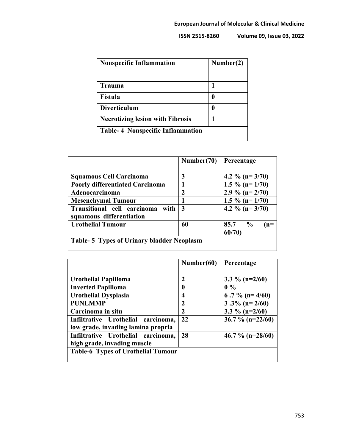| <b>Nonspecific Inflammation</b>         | Number(2) |
|-----------------------------------------|-----------|
| <b>Trauma</b>                           |           |
| <b>Fistula</b>                          | O         |
| <b>Diverticulum</b>                     |           |
| <b>Necrotizing lesion with Fibrosis</b> |           |
| <b>Table-4 Nonspecific Inflammation</b> |           |

|                                                              | Number(70)  | Percentage                          |  |
|--------------------------------------------------------------|-------------|-------------------------------------|--|
| <b>Squamous Cell Carcinoma</b>                               | 3           | 4.2 % ( $n = 3/70$ )                |  |
| <b>Poorly differentiated Carcinoma</b>                       |             | 1.5 % (n= $1/70$ )                  |  |
| Adenocarcinoma                                               | $\mathbf 2$ | 2.9 % ( $n = 2/70$ )                |  |
| <b>Mesenchymal Tumour</b>                                    |             | 1.5 % (n= $1/70$ )                  |  |
| Transitional cell carcinoma with<br>squamous differentiation | 3           | 4.2 % ( $n = 3/70$ )                |  |
| <b>Urothelial Tumour</b>                                     | 60          | $85.7\frac{6}{6}$<br>$(n=$<br>60/70 |  |
| <b>Table-5 Types of Urinary bladder Neoplasm</b>             |             |                                     |  |

|                                           | Number(60) | Percentage           |
|-------------------------------------------|------------|----------------------|
| Urothelial Papilloma                      | 2          | 3.3 % (n= $2/60$ )   |
| <b>Inverted Papilloma</b>                 | 0          | $0\%$                |
| <b>Urothelial Dysplasia</b>               | 4          | 6.7 % (n= $4/60$ )   |
| <b>PUNLMMP</b>                            | 2          | $3.3\%$ (n= 2/60)    |
| Carcinoma in situ                         | 2          | 3.3 % ( $n=2/60$ )   |
| Infiltrative Urothelial carcinoma,        | 22         | 36.7 % ( $n=22/60$ ) |
| low grade, invading lamina propria        |            |                      |
| Infiltrative Urothelial carcinoma,        | 28         | 46.7 % ( $n=28/60$ ) |
| high grade, invading muscle               |            |                      |
| <b>Table-6 Types of Urothelial Tumour</b> |            |                      |
|                                           |            |                      |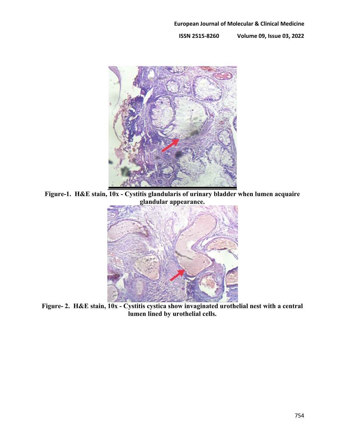

**Figure-1. H&E stain, 10x - Cystitis glandularis of urinary bladder when lumen acquaire glandular appearance.**



**Figure- 2. H&E stain, 10x - Cystitis cystica show invaginated urothelial nest with a central lumen lined by urothelial cells.**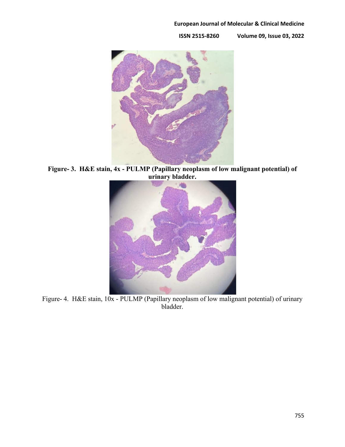#### **European Journal of Molecular & Clinical Medicine**



**Figure- 3. H&E stain, 4x - PULMP (Papillary neoplasm of low malignant potential) of urinary bladder.**



Figure- 4. H&E stain, 10x - PULMP (Papillary neoplasm of low malignant potential) of urinary bladder.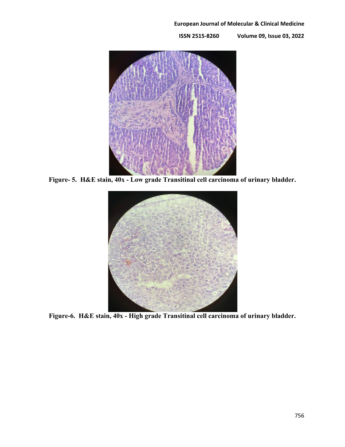#### **European Journal of Molecular & Clinical Medicine**



**Figure- 5. H&E stain, 40x - Low grade Transitinal cell carcinoma of urinary bladder.**



**Figure-6. H&E stain, 40x - High grade Transitinal cell carcinoma of urinary bladder.**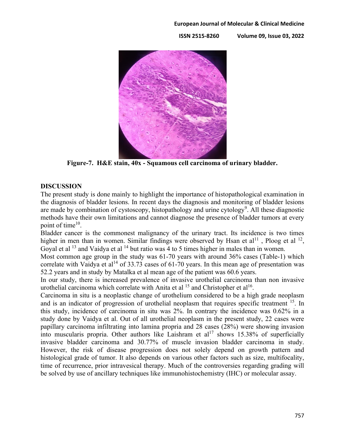#### **European Journal of Molecular & Clinical Medicine**

**ISSN 2515-8260 Volume 09, Issue 03, 2022**



**Figure-7. H&E stain, 40x - Squamous cell carcinoma of urinary bladder.**

#### **DISCUSSION**

The present study is done mainly to highlight the importance of histopathological examination in the diagnosis of bladder lesions. In recent days the diagnosis and monitoring of bladder lesions are made by combination of cystoscopy, histopathology and urine cytology<sup>9</sup>. All these diagnostic methods have their own limitations and cannot diagnose the presence of bladder tumors at every point of time<sup>10</sup>.

Bladder cancer is the commonest malignancy of the urinary tract. Its incidence is two times higher in men than in women. Similar findings were observed by Hsan et  $al<sup>11</sup>$ , Ploog et al <sup>12</sup>, Goyal et al  $^{13}$  and Vaidya et al  $^{14}$  but ratio was 4 to 5 times higher in males than in women.

Most common age group in the study was 61-70 years with around 36% cases (Table-1) which correlate with Vaidya et al<sup>14</sup> of 33.73 cases of 61-70 years. In this mean age of presentation was 52.2 years and in study by Matalka et al mean age of the patient was 60.6 years.

In our study, there is increased prevalence of invasive urothelial carcinoma than non invasive urothelial carcinoma which correlate with Anita et al <sup>15</sup> and Christopher et al<sup>16</sup>.

Carcinoma in situ is a neoplastic change of urothelium considered to be a high grade neoplasm and is an indicator of progression of urothelial neoplasm that requires specific treatment <sup>15</sup>. In this study, incidence of carcinoma in situ was 2%. In contrary the incidence was 0.62% in a study done by Vaidya et al. Out of all urothelial neoplasm in the present study, 22 cases were papillary carcinoma infiltrating into lamina propria and 28 cases (28%) were showing invasion into muscularis propria. Other authors like Laishram et  $al^{17}$  shows 15.38% of superficially invasive bladder carcinoma and 30.77% of muscle invasion bladder carcinoma in study. However, the risk of disease progression does not solely depend on growth pattern and histological grade of tumor. It also depends on various other factors such as size, multifocality, time of recurrence, prior intravesical therapy. Much of the controversies regarding grading will be solved by use of ancillary techniques like immunohistochemistry (IHC) or molecular assay.